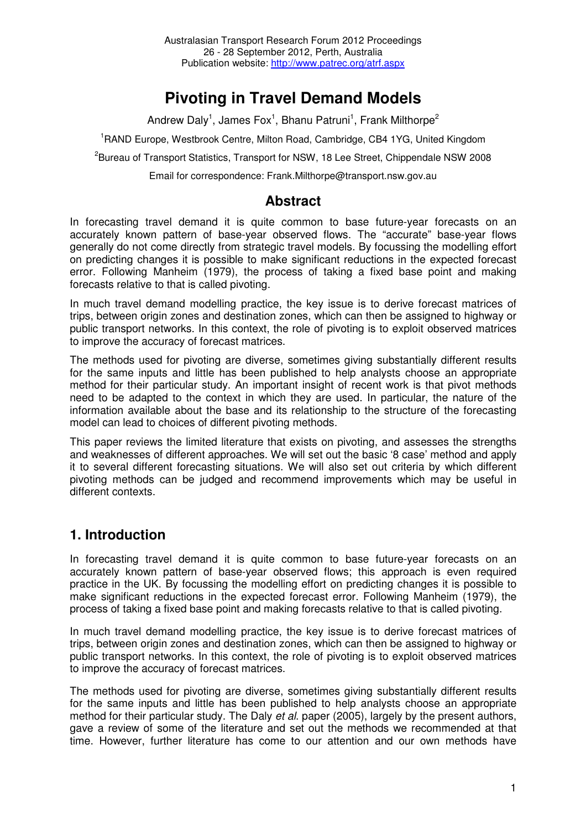# **Pivoting in Travel Demand Models**

Andrew Daly<sup>1</sup>, James Fox<sup>1</sup>, Bhanu Patruni<sup>1</sup>, Frank Milthorpe<sup>2</sup>

<sup>1</sup>RAND Europe, Westbrook Centre, Milton Road, Cambridge, CB4 1YG, United Kingdom

<sup>2</sup>Bureau of Transport Statistics, Transport for NSW, 18 Lee Street, Chippendale NSW 2008

Email for correspondence: Frank.Milthorpe@transport.nsw.gov.au

## **Abstract**

In forecasting travel demand it is quite common to base future-year forecasts on an accurately known pattern of base-year observed flows. The "accurate" base-year flows generally do not come directly from strategic travel models. By focussing the modelling effort on predicting changes it is possible to make significant reductions in the expected forecast error. Following Manheim (1979), the process of taking a fixed base point and making forecasts relative to that is called pivoting.

In much travel demand modelling practice, the key issue is to derive forecast matrices of trips, between origin zones and destination zones, which can then be assigned to highway or public transport networks. In this context, the role of pivoting is to exploit observed matrices to improve the accuracy of forecast matrices.

The methods used for pivoting are diverse, sometimes giving substantially different results for the same inputs and little has been published to help analysts choose an appropriate method for their particular study. An important insight of recent work is that pivot methods need to be adapted to the context in which they are used. In particular, the nature of the information available about the base and its relationship to the structure of the forecasting model can lead to choices of different pivoting methods.

This paper reviews the limited literature that exists on pivoting, and assesses the strengths and weaknesses of different approaches. We will set out the basic '8 case' method and apply it to several different forecasting situations. We will also set out criteria by which different pivoting methods can be judged and recommend improvements which may be useful in different contexts.

## **1. Introduction**

In forecasting travel demand it is quite common to base future-year forecasts on an accurately known pattern of base-year observed flows; this approach is even required practice in the UK. By focussing the modelling effort on predicting changes it is possible to make significant reductions in the expected forecast error. Following Manheim (1979), the process of taking a fixed base point and making forecasts relative to that is called pivoting.

In much travel demand modelling practice, the key issue is to derive forecast matrices of trips, between origin zones and destination zones, which can then be assigned to highway or public transport networks. In this context, the role of pivoting is to exploit observed matrices to improve the accuracy of forecast matrices.

The methods used for pivoting are diverse, sometimes giving substantially different results for the same inputs and little has been published to help analysts choose an appropriate method for their particular study. The Daly et al. paper (2005), largely by the present authors, gave a review of some of the literature and set out the methods we recommended at that time. However, further literature has come to our attention and our own methods have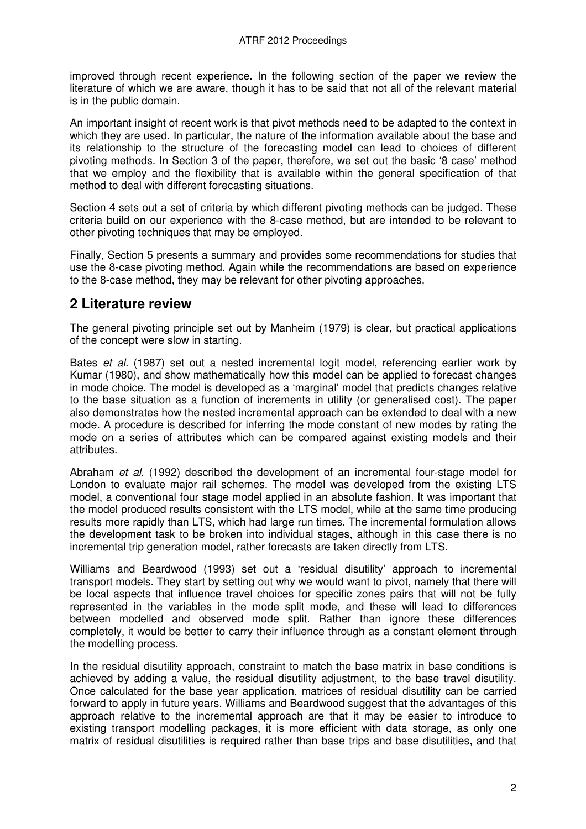improved through recent experience. In the following section of the paper we review the literature of which we are aware, though it has to be said that not all of the relevant material is in the public domain.

An important insight of recent work is that pivot methods need to be adapted to the context in which they are used. In particular, the nature of the information available about the base and its relationship to the structure of the forecasting model can lead to choices of different pivoting methods. In Section 3 of the paper, therefore, we set out the basic '8 case' method that we employ and the flexibility that is available within the general specification of that method to deal with different forecasting situations.

Section 4 sets out a set of criteria by which different pivoting methods can be judged. These criteria build on our experience with the 8-case method, but are intended to be relevant to other pivoting techniques that may be employed.

Finally, Section 5 presents a summary and provides some recommendations for studies that use the 8-case pivoting method. Again while the recommendations are based on experience to the 8-case method, they may be relevant for other pivoting approaches.

## **2 Literature review**

The general pivoting principle set out by Manheim (1979) is clear, but practical applications of the concept were slow in starting.

Bates *et al.* (1987) set out a nested incremental logit model, referencing earlier work by Kumar (1980), and show mathematically how this model can be applied to forecast changes in mode choice. The model is developed as a 'marginal' model that predicts changes relative to the base situation as a function of increments in utility (or generalised cost). The paper also demonstrates how the nested incremental approach can be extended to deal with a new mode. A procedure is described for inferring the mode constant of new modes by rating the mode on a series of attributes which can be compared against existing models and their attributes.

Abraham et al. (1992) described the development of an incremental four-stage model for London to evaluate major rail schemes. The model was developed from the existing LTS model, a conventional four stage model applied in an absolute fashion. It was important that the model produced results consistent with the LTS model, while at the same time producing results more rapidly than LTS, which had large run times. The incremental formulation allows the development task to be broken into individual stages, although in this case there is no incremental trip generation model, rather forecasts are taken directly from LTS.

Williams and Beardwood (1993) set out a 'residual disutility' approach to incremental transport models. They start by setting out why we would want to pivot, namely that there will be local aspects that influence travel choices for specific zones pairs that will not be fully represented in the variables in the mode split mode, and these will lead to differences between modelled and observed mode split. Rather than ignore these differences completely, it would be better to carry their influence through as a constant element through the modelling process.

In the residual disutility approach, constraint to match the base matrix in base conditions is achieved by adding a value, the residual disutility adjustment, to the base travel disutility. Once calculated for the base year application, matrices of residual disutility can be carried forward to apply in future years. Williams and Beardwood suggest that the advantages of this approach relative to the incremental approach are that it may be easier to introduce to existing transport modelling packages, it is more efficient with data storage, as only one matrix of residual disutilities is required rather than base trips and base disutilities, and that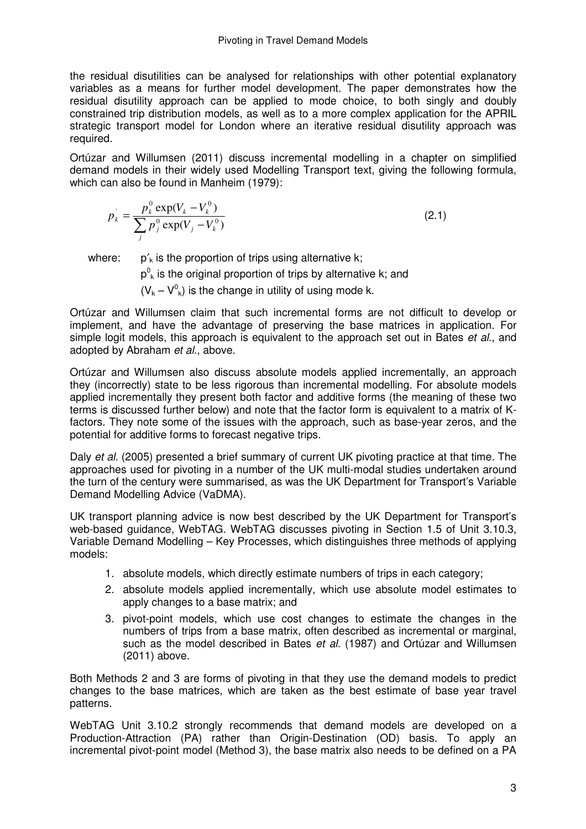the residual disutilities can be analysed for relationships with other potential explanatory variables as a means for further model development. The paper demonstrates how the residual disutility approach can be applied to mode choice, to both singly and doubly constrained trip distribution models, as well as to a more complex application for the APRIL strategic transport model for London where an iterative residual disutility approach was required.

Ortúzar and Willumsen (2011) discuss incremental modelling in a chapter on simplified demand models in their widely used Modelling Transport text, giving the following formula, which can also be found in Manheim (1979):

$$
p_k = \frac{p_k^0 \exp(V_k - V_k^0)}{\sum_j p_j^0 \exp(V_j - V_k^0)}
$$
\n(2.1)

where:  $p'_{k}$  is the proportion of trips using alternative k;

 $p^0$ <sub>k</sub> is the original proportion of trips by alternative k; and

 $(V_k - V^0_k)$  is the change in utility of using mode k.

Ortúzar and Willumsen claim that such incremental forms are not difficult to develop or implement, and have the advantage of preserving the base matrices in application. For simple logit models, this approach is equivalent to the approach set out in Bates et al., and adopted by Abraham et al., above.

Ortúzar and Willumsen also discuss absolute models applied incrementally, an approach they (incorrectly) state to be less rigorous than incremental modelling. For absolute models applied incrementally they present both factor and additive forms (the meaning of these two terms is discussed further below) and note that the factor form is equivalent to a matrix of Kfactors. They note some of the issues with the approach, such as base-year zeros, and the potential for additive forms to forecast negative trips.

Daly et al. (2005) presented a brief summary of current UK pivoting practice at that time. The approaches used for pivoting in a number of the UK multi-modal studies undertaken around the turn of the century were summarised, as was the UK Department for Transport's Variable Demand Modelling Advice (VaDMA).

UK transport planning advice is now best described by the UK Department for Transport's web-based guidance, WebTAG. WebTAG discusses pivoting in Section 1.5 of Unit 3.10.3, Variable Demand Modelling – Key Processes, which distinguishes three methods of applying models:

- 1. absolute models, which directly estimate numbers of trips in each category;
- 2. absolute models applied incrementally, which use absolute model estimates to apply changes to a base matrix; and
- 3. pivot-point models, which use cost changes to estimate the changes in the numbers of trips from a base matrix, often described as incremental or marginal, such as the model described in Bates et al. (1987) and Ortúzar and Willumsen (2011) above.

Both Methods 2 and 3 are forms of pivoting in that they use the demand models to predict changes to the base matrices, which are taken as the best estimate of base year travel patterns.

WebTAG Unit 3.10.2 strongly recommends that demand models are developed on a Production-Attraction (PA) rather than Origin-Destination (OD) basis. To apply an incremental pivot-point model (Method 3), the base matrix also needs to be defined on a PA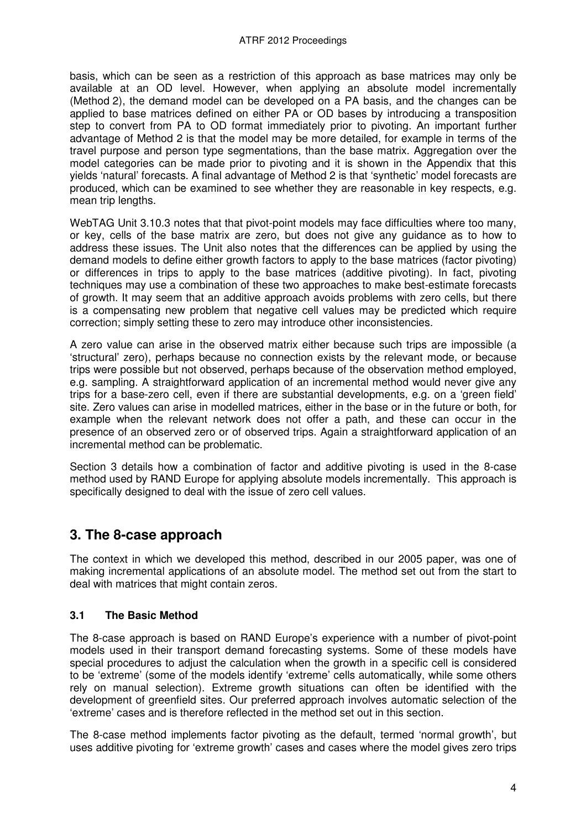basis, which can be seen as a restriction of this approach as base matrices may only be available at an OD level. However, when applying an absolute model incrementally (Method 2), the demand model can be developed on a PA basis, and the changes can be applied to base matrices defined on either PA or OD bases by introducing a transposition step to convert from PA to OD format immediately prior to pivoting. An important further advantage of Method 2 is that the model may be more detailed, for example in terms of the travel purpose and person type segmentations, than the base matrix. Aggregation over the model categories can be made prior to pivoting and it is shown in the Appendix that this yields 'natural' forecasts. A final advantage of Method 2 is that 'synthetic' model forecasts are produced, which can be examined to see whether they are reasonable in key respects, e.g. mean trip lengths.

WebTAG Unit 3.10.3 notes that that pivot-point models may face difficulties where too many, or key, cells of the base matrix are zero, but does not give any guidance as to how to address these issues. The Unit also notes that the differences can be applied by using the demand models to define either growth factors to apply to the base matrices (factor pivoting) or differences in trips to apply to the base matrices (additive pivoting). In fact, pivoting techniques may use a combination of these two approaches to make best-estimate forecasts of growth. It may seem that an additive approach avoids problems with zero cells, but there is a compensating new problem that negative cell values may be predicted which require correction; simply setting these to zero may introduce other inconsistencies.

A zero value can arise in the observed matrix either because such trips are impossible (a 'structural' zero), perhaps because no connection exists by the relevant mode, or because trips were possible but not observed, perhaps because of the observation method employed, e.g. sampling. A straightforward application of an incremental method would never give any trips for a base-zero cell, even if there are substantial developments, e.g. on a 'green field' site. Zero values can arise in modelled matrices, either in the base or in the future or both, for example when the relevant network does not offer a path, and these can occur in the presence of an observed zero or of observed trips. Again a straightforward application of an incremental method can be problematic.

Section 3 details how a combination of factor and additive pivoting is used in the 8-case method used by RAND Europe for applying absolute models incrementally. This approach is specifically designed to deal with the issue of zero cell values.

## **3. The 8-case approach**

The context in which we developed this method, described in our 2005 paper, was one of making incremental applications of an absolute model. The method set out from the start to deal with matrices that might contain zeros.

#### **3.1 The Basic Method**

The 8-case approach is based on RAND Europe's experience with a number of pivot-point models used in their transport demand forecasting systems. Some of these models have special procedures to adjust the calculation when the growth in a specific cell is considered to be 'extreme' (some of the models identify 'extreme' cells automatically, while some others rely on manual selection). Extreme growth situations can often be identified with the development of greenfield sites. Our preferred approach involves automatic selection of the 'extreme' cases and is therefore reflected in the method set out in this section.

The 8-case method implements factor pivoting as the default, termed 'normal growth', but uses additive pivoting for 'extreme growth' cases and cases where the model gives zero trips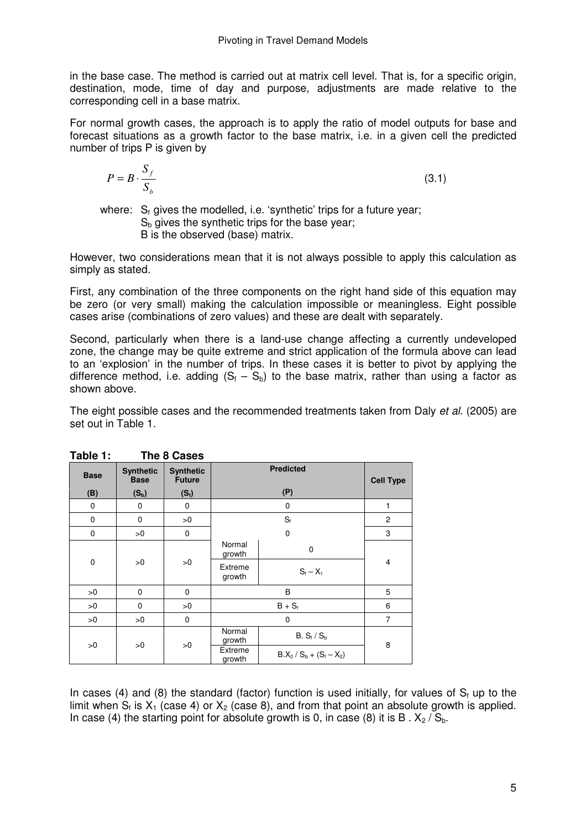in the base case. The method is carried out at matrix cell level. That is, for a specific origin, destination, mode, time of day and purpose, adjustments are made relative to the corresponding cell in a base matrix.

For normal growth cases, the approach is to apply the ratio of model outputs for base and forecast situations as a growth factor to the base matrix, i.e. in a given cell the predicted number of trips P is given by

$$
P = B \cdot \frac{S_f}{S_b} \tag{3.1}
$$

where:  $S_f$  gives the modelled, i.e. 'synthetic' trips for a future year;  $S<sub>b</sub>$  gives the synthetic trips for the base year: B is the observed (base) matrix.

However, two considerations mean that it is not always possible to apply this calculation as simply as stated.

First, any combination of the three components on the right hand side of this equation may be zero (or very small) making the calculation impossible or meaningless. Eight possible cases arise (combinations of zero values) and these are dealt with separately.

Second, particularly when there is a land-use change affecting a currently undeveloped zone, the change may be quite extreme and strict application of the formula above can lead to an 'explosion' in the number of trips. In these cases it is better to pivot by applying the difference method, i.e. adding (S<sub>f</sub> – S<sub>b</sub>) to the base matrix, rather than using a factor as shown above.

The eight possible cases and the recommended treatments taken from Daly *et al.* (2005) are set out in Table 1.

| .           | .                               |                                   |                   |                             |                |  |
|-------------|---------------------------------|-----------------------------------|-------------------|-----------------------------|----------------|--|
| <b>Base</b> | <b>Synthetic</b><br><b>Base</b> | <b>Synthetic</b><br><b>Future</b> |                   | <b>Cell Type</b>            |                |  |
| (B)         | $(S_b)$                         | $(S_i)$                           |                   | (P)                         |                |  |
| $\mathbf 0$ | 0                               | 0                                 |                   | 0                           | 1              |  |
| $\mathbf 0$ | $\mathbf 0$                     | >0                                |                   | $S_f$                       | $\overline{2}$ |  |
| $\mathbf 0$ | >0                              | 0                                 |                   | $\mathbf 0$                 | 3              |  |
| $\pmb{0}$   | >0                              | >0                                | Normal<br>growth  | 0                           |                |  |
|             |                                 |                                   | Extreme<br>growth | $S_{f} - X_{1}$             | 4              |  |
| >0          | $\mathbf 0$                     | $\mathbf 0$                       | B                 |                             | 5              |  |
| >0          | $\mathbf 0$                     | >0                                | $B + S_f$         |                             | 6              |  |
| >0          | >0                              | $\mathbf 0$                       | $\mathbf 0$       |                             | $\overline{7}$ |  |
|             |                                 |                                   | Normal<br>growth  | B. $S_f / S_b$              | 8              |  |
| >0          | >0                              | >0                                | Extreme<br>growth | $B.X_2 / S_b + (S_f - X_2)$ |                |  |

In cases (4) and (8) the standard (factor) function is used initially, for values of  $S_f$  up to the limit when  $S_f$  is  $X_1$  (case 4) or  $X_2$  (case 8), and from that point an absolute growth is applied. In case (4) the starting point for absolute growth is 0, in case (8) it is B.  $X_2 / S_b$ .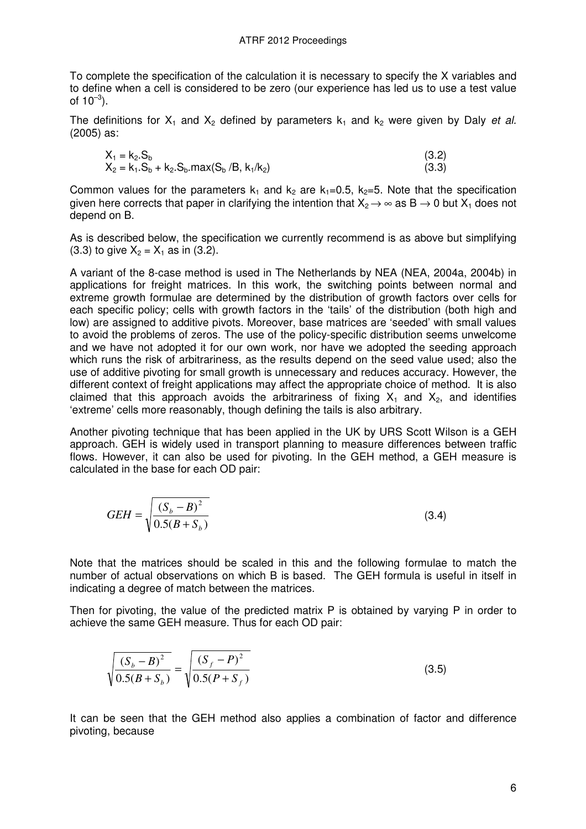To complete the specification of the calculation it is necessary to specify the X variables and to define when a cell is considered to be zero (our experience has led us to use a test value of  $10^{-3}$ ).

The definitions for  $X_1$  and  $X_2$  defined by parameters  $k_1$  and  $k_2$  were given by Daly et al. (2005) as:

$$
X_1 = k_2.S_b
$$
  
\n
$$
X_2 = k_1.S_b + k_2.S_b.max(S_b / B, k_1 / k_2)
$$
\n(3.3)

Common values for the parameters  $k_1$  and  $k_2$  are  $k_1=0.5$ ,  $k_2=5$ . Note that the specification given here corrects that paper in clarifying the intention that  $X_2 \rightarrow \infty$  as  $B \rightarrow 0$  but  $X_1$  does not depend on B.

As is described below, the specification we currently recommend is as above but simplifying (3.3) to give  $X_2 = X_1$  as in (3.2).

A variant of the 8-case method is used in The Netherlands by NEA (NEA, 2004a, 2004b) in applications for freight matrices. In this work, the switching points between normal and extreme growth formulae are determined by the distribution of growth factors over cells for each specific policy; cells with growth factors in the 'tails' of the distribution (both high and low) are assigned to additive pivots. Moreover, base matrices are 'seeded' with small values to avoid the problems of zeros. The use of the policy-specific distribution seems unwelcome and we have not adopted it for our own work, nor have we adopted the seeding approach which runs the risk of arbitrariness, as the results depend on the seed value used; also the use of additive pivoting for small growth is unnecessary and reduces accuracy. However, the different context of freight applications may affect the appropriate choice of method. It is also claimed that this approach avoids the arbitrariness of fixing  $X_1$  and  $X_2$ , and identifies 'extreme' cells more reasonably, though defining the tails is also arbitrary.

Another pivoting technique that has been applied in the UK by URS Scott Wilson is a GEH approach. GEH is widely used in transport planning to measure differences between traffic flows. However, it can also be used for pivoting. In the GEH method, a GEH measure is calculated in the base for each OD pair:

$$
GEH = \sqrt{\frac{(S_b - B)^2}{0.5(B + S_b)}}\tag{3.4}
$$

Note that the matrices should be scaled in this and the following formulae to match the number of actual observations on which B is based. The GEH formula is useful in itself in indicating a degree of match between the matrices.

Then for pivoting, the value of the predicted matrix P is obtained by varying P in order to achieve the same GEH measure. Thus for each OD pair:

$$
\sqrt{\frac{(S_b - B)^2}{0.5(B + S_b)}} = \sqrt{\frac{(S_f - P)^2}{0.5(P + S_f)}}
$$
\n(3.5)

It can be seen that the GEH method also applies a combination of factor and difference pivoting, because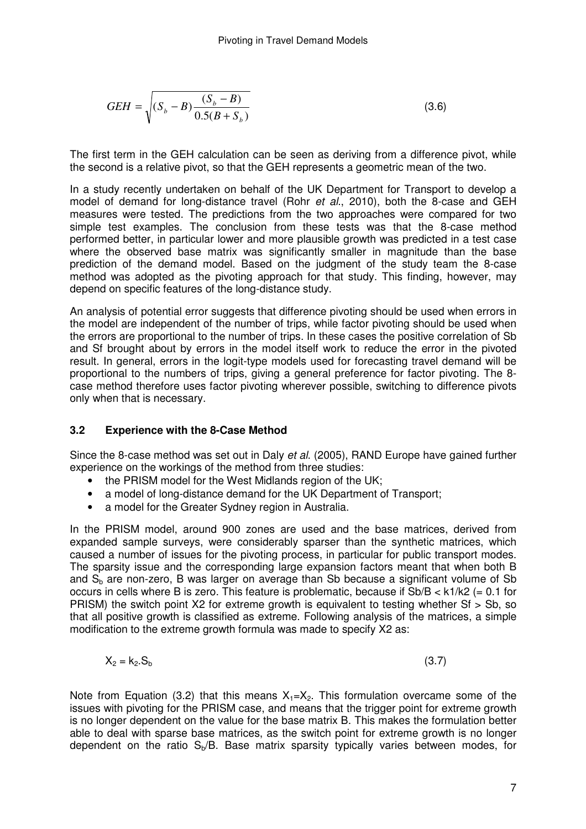$$
GEH = \sqrt{(S_b - B) \frac{(S_b - B)}{0.5(B + S_b)}}
$$
(3.6)

The first term in the GEH calculation can be seen as deriving from a difference pivot, while the second is a relative pivot, so that the GEH represents a geometric mean of the two.

In a study recently undertaken on behalf of the UK Department for Transport to develop a model of demand for long-distance travel (Rohr *et al.*, 2010), both the 8-case and GEH measures were tested. The predictions from the two approaches were compared for two simple test examples. The conclusion from these tests was that the 8-case method performed better, in particular lower and more plausible growth was predicted in a test case where the observed base matrix was significantly smaller in magnitude than the base prediction of the demand model. Based on the judgment of the study team the 8-case method was adopted as the pivoting approach for that study. This finding, however, may depend on specific features of the long-distance study.

An analysis of potential error suggests that difference pivoting should be used when errors in the model are independent of the number of trips, while factor pivoting should be used when the errors are proportional to the number of trips. In these cases the positive correlation of Sb and Sf brought about by errors in the model itself work to reduce the error in the pivoted result. In general, errors in the logit-type models used for forecasting travel demand will be proportional to the numbers of trips, giving a general preference for factor pivoting. The 8 case method therefore uses factor pivoting wherever possible, switching to difference pivots only when that is necessary.

#### **3.2 Experience with the 8-Case Method**

Since the 8-case method was set out in Daly *et al.* (2005), RAND Europe have gained further experience on the workings of the method from three studies:

- the PRISM model for the West Midlands region of the UK:
- a model of long-distance demand for the UK Department of Transport:
- a model for the Greater Sydney region in Australia.

In the PRISM model, around 900 zones are used and the base matrices, derived from expanded sample surveys, were considerably sparser than the synthetic matrices, which caused a number of issues for the pivoting process, in particular for public transport modes. The sparsity issue and the corresponding large expansion factors meant that when both B and  $S<sub>b</sub>$  are non-zero, B was larger on average than Sb because a significant volume of Sb occurs in cells where B is zero. This feature is problematic, because if  $Sb/B < k1/k2$  (= 0.1 for PRISM) the switch point X2 for extreme growth is equivalent to testing whether Sf > Sb, so that all positive growth is classified as extreme. Following analysis of the matrices, a simple modification to the extreme growth formula was made to specify X2 as:

$$
X_2 = k_2.S_b \tag{3.7}
$$

Note from Equation (3.2) that this means  $X_1=X_2$ . This formulation overcame some of the issues with pivoting for the PRISM case, and means that the trigger point for extreme growth is no longer dependent on the value for the base matrix B. This makes the formulation better able to deal with sparse base matrices, as the switch point for extreme growth is no longer dependent on the ratio  $S<sub>b</sub>/B$ . Base matrix sparsity typically varies between modes, for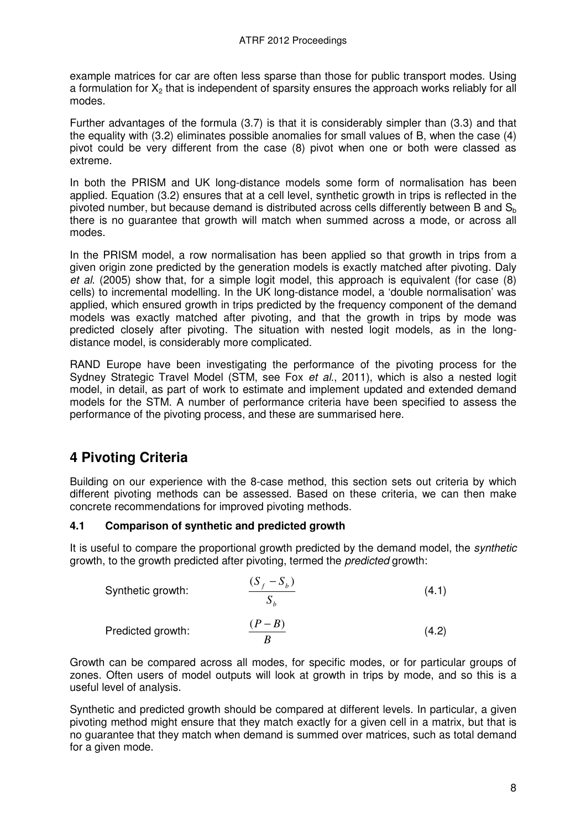example matrices for car are often less sparse than those for public transport modes. Using a formulation for  $X<sub>2</sub>$  that is independent of sparsity ensures the approach works reliably for all modes.

Further advantages of the formula (3.7) is that it is considerably simpler than (3.3) and that the equality with (3.2) eliminates possible anomalies for small values of B, when the case (4) pivot could be very different from the case (8) pivot when one or both were classed as extreme.

In both the PRISM and UK long-distance models some form of normalisation has been applied. Equation (3.2) ensures that at a cell level, synthetic growth in trips is reflected in the pivoted number, but because demand is distributed across cells differently between B and  $S<sub>b</sub>$ there is no guarantee that growth will match when summed across a mode, or across all modes.

In the PRISM model, a row normalisation has been applied so that growth in trips from a given origin zone predicted by the generation models is exactly matched after pivoting. Daly et al. (2005) show that, for a simple logit model, this approach is equivalent (for case (8) cells) to incremental modelling. In the UK long-distance model, a 'double normalisation' was applied, which ensured growth in trips predicted by the frequency component of the demand models was exactly matched after pivoting, and that the growth in trips by mode was predicted closely after pivoting. The situation with nested logit models, as in the longdistance model, is considerably more complicated.

RAND Europe have been investigating the performance of the pivoting process for the Sydney Strategic Travel Model (STM, see Fox et al., 2011), which is also a nested logit model, in detail, as part of work to estimate and implement updated and extended demand models for the STM. A number of performance criteria have been specified to assess the performance of the pivoting process, and these are summarised here.

# **4 Pivoting Criteria**

Building on our experience with the 8-case method, this section sets out criteria by which different pivoting methods can be assessed. Based on these criteria, we can then make concrete recommendations for improved pivoting methods.

#### **4.1 Comparison of synthetic and predicted growth**

It is useful to compare the proportional growth predicted by the demand model, the *synthetic* growth, to the growth predicted after pivoting, termed the predicted growth:

| Synthetic growth: | $\frac{(S_f - S_b)}{S_b}$ | (4.1) |
|-------------------|---------------------------|-------|
| Predicted growth: | $\frac{(P - B)}{B}$       | (4.2) |

Growth can be compared across all modes, for specific modes, or for particular groups of zones. Often users of model outputs will look at growth in trips by mode, and so this is a useful level of analysis.

Synthetic and predicted growth should be compared at different levels. In particular, a given pivoting method might ensure that they match exactly for a given cell in a matrix, but that is no guarantee that they match when demand is summed over matrices, such as total demand for a given mode.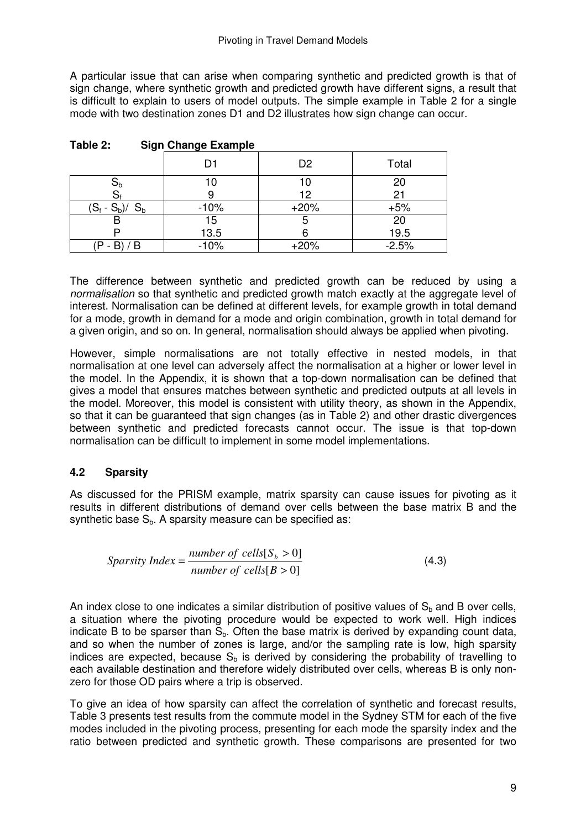A particular issue that can arise when comparing synthetic and predicted growth is that of sign change, where synthetic growth and predicted growth have different signs, a result that is difficult to explain to users of model outputs. The simple example in Table 2 for a single mode with two destination zones D1 and D2 illustrates how sign change can occur.

|                          | D <sub>1</sub> | D <sub>2</sub> | Total   |
|--------------------------|----------------|----------------|---------|
| Ub                       | 10             | 10             | 20      |
|                          |                | 12             | 21      |
| $(S_f - S_b)$ /<br>$S_b$ | $-10%$         | $+20%$         | $+5%$   |
|                          | $15$<br>13.5   | 5              | 20      |
|                          |                |                | 19.5    |
| $(P - B) / B$            | $-10%$         | $+20%$         | $-2.5%$ |

| Table 2: |  | <b>Sign Change Example</b> |
|----------|--|----------------------------|
|          |  |                            |

The difference between synthetic and predicted growth can be reduced by using a normalisation so that synthetic and predicted growth match exactly at the aggregate level of interest. Normalisation can be defined at different levels, for example growth in total demand for a mode, growth in demand for a mode and origin combination, growth in total demand for a given origin, and so on. In general, normalisation should always be applied when pivoting.

However, simple normalisations are not totally effective in nested models, in that normalisation at one level can adversely affect the normalisation at a higher or lower level in the model. In the Appendix, it is shown that a top-down normalisation can be defined that gives a model that ensures matches between synthetic and predicted outputs at all levels in the model. Moreover, this model is consistent with utility theory, as shown in the Appendix, so that it can be guaranteed that sign changes (as in Table 2) and other drastic divergences between synthetic and predicted forecasts cannot occur. The issue is that top-down normalisation can be difficult to implement in some model implementations.

### **4.2 Sparsity**

As discussed for the PRISM example, matrix sparsity can cause issues for pivoting as it results in different distributions of demand over cells between the base matrix B and the synthetic base  $S_h$ . A sparsity measure can be specified as:

$$
Sparsity Index = \frac{number\ of\ cells[S_b > 0]}{number\ of\ cells[B > 0]}
$$
\n(4.3)

An index close to one indicates a similar distribution of positive values of  $S<sub>b</sub>$  and B over cells, a situation where the pivoting procedure would be expected to work well. High indices indicate B to be sparser than  $S<sub>b</sub>$ . Often the base matrix is derived by expanding count data, and so when the number of zones is large, and/or the sampling rate is low, high sparsity indices are expected, because  $S<sub>b</sub>$  is derived by considering the probability of travelling to each available destination and therefore widely distributed over cells, whereas B is only nonzero for those OD pairs where a trip is observed.

To give an idea of how sparsity can affect the correlation of synthetic and forecast results, Table 3 presents test results from the commute model in the Sydney STM for each of the five modes included in the pivoting process, presenting for each mode the sparsity index and the ratio between predicted and synthetic growth. These comparisons are presented for two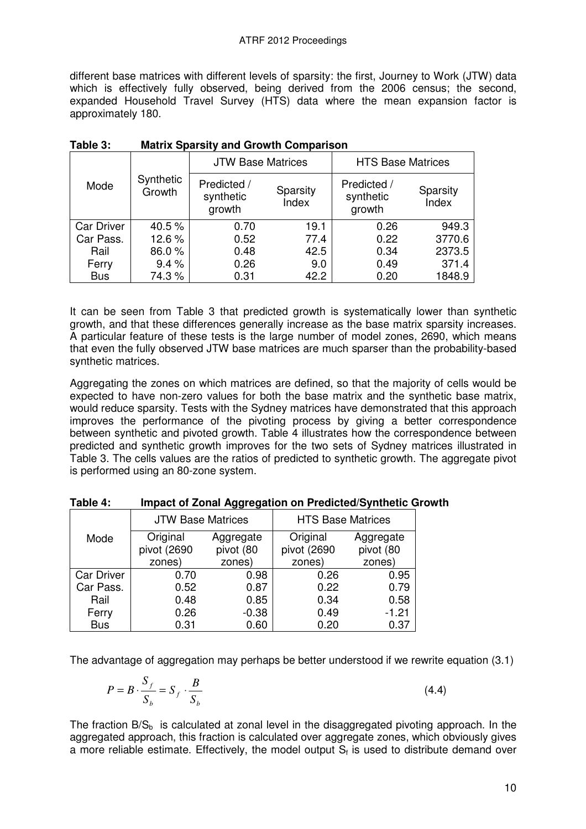different base matrices with different levels of sparsity: the first, Journey to Work (JTW) data which is effectively fully observed, being derived from the 2006 census; the second, expanded Household Travel Survey (HTS) data where the mean expansion factor is approximately 180.

|                   |                     | <b>JTW Base Matrices</b>                                |      | <b>HTS Base Matrices</b>           |                   |  |
|-------------------|---------------------|---------------------------------------------------------|------|------------------------------------|-------------------|--|
| Mode              | Synthetic<br>Growth | Predicted /<br>Sparsity<br>synthetic<br>Index<br>growth |      | Predicted /<br>synthetic<br>growth | Sparsity<br>Index |  |
| <b>Car Driver</b> | 40.5%               | 0.70                                                    | 19.1 | 0.26                               | 949.3             |  |
| Car Pass.         | 12.6%               | 0.52                                                    | 77.4 | 0.22                               | 3770.6            |  |
| Rail              | 86.0%               | 0.48                                                    | 42.5 | 0.34                               | 2373.5            |  |
| Ferry             | 9.4%                | 0.26                                                    | 9.0  | 0.49                               | 371.4             |  |
| <b>Bus</b>        | 74.3%               | 0.31                                                    | 42.2 | 0.20                               | 1848.9            |  |

**Table 3: Matrix Sparsity and Growth Comparison** 

It can be seen from Table 3 that predicted growth is systematically lower than synthetic growth, and that these differences generally increase as the base matrix sparsity increases. A particular feature of these tests is the large number of model zones, 2690, which means that even the fully observed JTW base matrices are much sparser than the probability-based synthetic matrices.

Aggregating the zones on which matrices are defined, so that the majority of cells would be expected to have non-zero values for both the base matrix and the synthetic base matrix, would reduce sparsity. Tests with the Sydney matrices have demonstrated that this approach improves the performance of the pivoting process by giving a better correspondence between synthetic and pivoted growth. Table 4 illustrates how the correspondence between predicted and synthetic growth improves for the two sets of Sydney matrices illustrated in Table 3. The cells values are the ratios of predicted to synthetic growth. The aggregate pivot is performed using an 80-zone system.

|                   | <b>JTW Base Matrices</b> |                        | <b>HTS Base Matrices</b> |                        |  |
|-------------------|--------------------------|------------------------|--------------------------|------------------------|--|
| Mode              | Original<br>pivot (2690  | Aggregate<br>pivot (80 | Original<br>pivot (2690  | Aggregate<br>pivot (80 |  |
|                   | zones)                   | zones)                 | zones)                   | zones)                 |  |
| <b>Car Driver</b> | 0.70                     | 0.98                   | 0.26                     | 0.95                   |  |
| Car Pass.         | 0.52                     | 0.87                   | 0.22                     | 0.79                   |  |
| Rail              | 0.48                     | 0.85                   | 0.34                     | 0.58                   |  |
| Ferry             | 0.26                     | $-0.38$                | 0.49                     | $-1.21$                |  |
| <b>Bus</b>        | 0.31                     | 0.60                   | 0.20                     | 0.37                   |  |

**Table 4: Impact of Zonal Aggregation on Predicted/Synthetic Growth** 

The advantage of aggregation may perhaps be better understood if we rewrite equation (3.1)

$$
P = B \cdot \frac{S_f}{S_b} = S_f \cdot \frac{B}{S_b}
$$
\n(4.4)

The fraction  $B/S_b$  is calculated at zonal level in the disaggregated pivoting approach. In the aggregated approach, this fraction is calculated over aggregate zones, which obviously gives a more reliable estimate. Effectively, the model output  $S_f$  is used to distribute demand over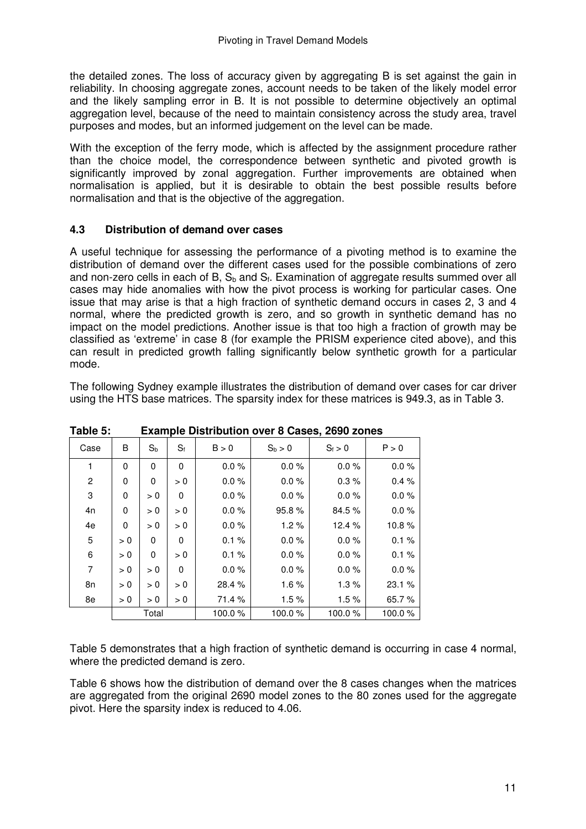the detailed zones. The loss of accuracy given by aggregating B is set against the gain in reliability. In choosing aggregate zones, account needs to be taken of the likely model error and the likely sampling error in B. It is not possible to determine objectively an optimal aggregation level, because of the need to maintain consistency across the study area, travel purposes and modes, but an informed judgement on the level can be made.

With the exception of the ferry mode, which is affected by the assignment procedure rather than the choice model, the correspondence between synthetic and pivoted growth is significantly improved by zonal aggregation. Further improvements are obtained when normalisation is applied, but it is desirable to obtain the best possible results before normalisation and that is the objective of the aggregation.

#### **4.3 Distribution of demand over cases**

A useful technique for assessing the performance of a pivoting method is to examine the distribution of demand over the different cases used for the possible combinations of zero and non-zero cells in each of B,  $\mathsf{S}_\mathsf{b}$  and  $\mathsf{S}_\mathsf{f}$ . Examination of aggregate results summed over all cases may hide anomalies with how the pivot process is working for particular cases. One issue that may arise is that a high fraction of synthetic demand occurs in cases 2, 3 and 4 normal, where the predicted growth is zero, and so growth in synthetic demand has no impact on the model predictions. Another issue is that too high a fraction of growth may be classified as 'extreme' in case 8 (for example the PRISM experience cited above), and this can result in predicted growth falling significantly below synthetic growth for a particular mode.

The following Sydney example illustrates the distribution of demand over cases for car driver using the HTS base matrices. The sparsity index for these matrices is 949.3, as in Table 3.

| Case           | В   | $S_b$ | $S_f$ | B > 0    | $S_b > 0$ | $S_f > 0$ | P > 0    |
|----------------|-----|-------|-------|----------|-----------|-----------|----------|
| 1              | 0   | 0     | 0     | 0.0%     | $0.0 \%$  | $0.0 \%$  | $0.0 \%$ |
| $\overline{c}$ | 0   | 0     | > 0   | $0.0 \%$ | $0.0 \%$  | 0.3%      | 0.4%     |
| 3              | 0   | > 0   | 0     | $0.0 \%$ | $0.0 \%$  | $0.0 \%$  | $0.0 \%$ |
| 4n             | 0   | > 0   | > 0   | $0.0 \%$ | 95.8%     | 84.5 %    | $0.0 \%$ |
| 4e             | 0   | > 0   | > 0   | $0.0 \%$ | 1.2%      | 12.4 %    | 10.8%    |
| 5              | > 0 | 0     | 0     | 0.1%     | $0.0 \%$  | $0.0 \%$  | 0.1%     |
| 6              | > 0 | 0     | > 0   | 0.1%     | $0.0 \%$  | $0.0 \%$  | 0.1%     |
| 7              | > 0 | > 0   | 0     | $0.0 \%$ | $0.0 \%$  | $0.0 \%$  | $0.0 \%$ |
| 8n             | > 0 | > 0   | > 0   | 28.4 %   | 1.6%      | 1.3%      | 23.1%    |
| 8e             | > 0 | > 0   | > 0   | 71.4 %   | 1.5%      | 1.5%      | 65.7%    |
|                |     | Total |       | 100.0%   | 100.0%    | 100.0%    | 100.0%   |

**Table 5: Example Distribution over 8 Cases, 2690 zones** 

Table 5 demonstrates that a high fraction of synthetic demand is occurring in case 4 normal, where the predicted demand is zero.

Table 6 shows how the distribution of demand over the 8 cases changes when the matrices are aggregated from the original 2690 model zones to the 80 zones used for the aggregate pivot. Here the sparsity index is reduced to 4.06.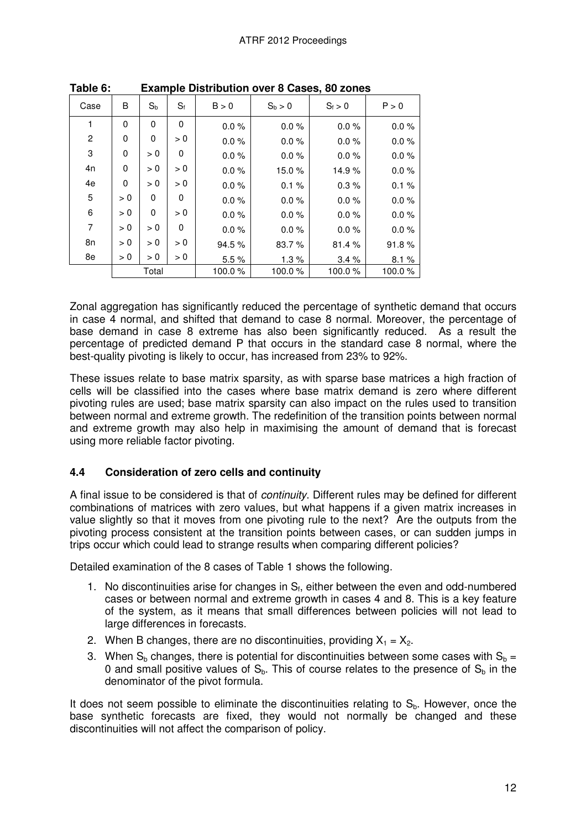| Case           | B        | $S_{b}$  | $S_f$ | B > 0    | $S_b > 0$ | $S_f > 0$ | P > 0    |
|----------------|----------|----------|-------|----------|-----------|-----------|----------|
| 1              | $\Omega$ | $\Omega$ | 0     | $0.0 \%$ | $0.0 \%$  | $0.0 \%$  | $0.0 \%$ |
| $\overline{2}$ | 0        | 0        | > 0   | $0.0 \%$ | $0.0 \%$  | $0.0 \%$  | $0.0 \%$ |
| 3              | 0        | > 0      | 0     | $0.0 \%$ | $0.0 \%$  | $0.0 \%$  | $0.0 \%$ |
| 4n             | 0        | > 0      | > 0   | $0.0 \%$ | 15.0%     | 14.9%     | $0.0 \%$ |
| 4e             | 0        | > 0      | > 0   | $0.0 \%$ | 0.1%      | 0.3%      | $0.1 \%$ |
| 5              | > 0      | 0        | 0     | $0.0 \%$ | $0.0 \%$  | $0.0 \%$  | $0.0 \%$ |
| 6              | > 0      | $\Omega$ | > 0   | $0.0 \%$ | $0.0 \%$  | $0.0 \%$  | $0.0 \%$ |
| 7              | > 0      | > 0      | 0     | $0.0 \%$ | $0.0 \%$  | $0.0 \%$  | $0.0 \%$ |
| 8n             | > 0      | > 0      | > 0   | 94.5%    | 83.7%     | 81.4%     | 91.8%    |
| 8e             | > 0      | > 0      | > 0   | 5.5%     | 1.3%      | 3.4%      | 8.1%     |
|                |          | Total    |       | 100.0%   | 100.0%    | 100.0%    | 100.0%   |

**Table 6: Example Distribution over 8 Cases, 80 zones** 

Zonal aggregation has significantly reduced the percentage of synthetic demand that occurs in case 4 normal, and shifted that demand to case 8 normal. Moreover, the percentage of base demand in case 8 extreme has also been significantly reduced. As a result the percentage of predicted demand P that occurs in the standard case 8 normal, where the best-quality pivoting is likely to occur, has increased from 23% to 92%.

These issues relate to base matrix sparsity, as with sparse base matrices a high fraction of cells will be classified into the cases where base matrix demand is zero where different pivoting rules are used; base matrix sparsity can also impact on the rules used to transition between normal and extreme growth. The redefinition of the transition points between normal and extreme growth may also help in maximising the amount of demand that is forecast using more reliable factor pivoting.

#### **4.4 Consideration of zero cells and continuity**

A final issue to be considered is that of continuity. Different rules may be defined for different combinations of matrices with zero values, but what happens if a given matrix increases in value slightly so that it moves from one pivoting rule to the next? Are the outputs from the pivoting process consistent at the transition points between cases, or can sudden jumps in trips occur which could lead to strange results when comparing different policies?

Detailed examination of the 8 cases of Table 1 shows the following.

- 1. No discontinuities arise for changes in  $S_f$ , either between the even and odd-numbered cases or between normal and extreme growth in cases 4 and 8. This is a key feature of the system, as it means that small differences between policies will not lead to large differences in forecasts.
- 2. When B changes, there are no discontinuities, providing  $X_1 = X_2$ .
- 3. When  $S_b$  changes, there is potential for discontinuities between some cases with  $S_b =$ 0 and small positive values of  $S_b$ . This of course relates to the presence of  $S_b$  in the denominator of the pivot formula.

It does not seem possible to eliminate the discontinuities relating to  $S_b$ . However, once the base synthetic forecasts are fixed, they would not normally be changed and these discontinuities will not affect the comparison of policy.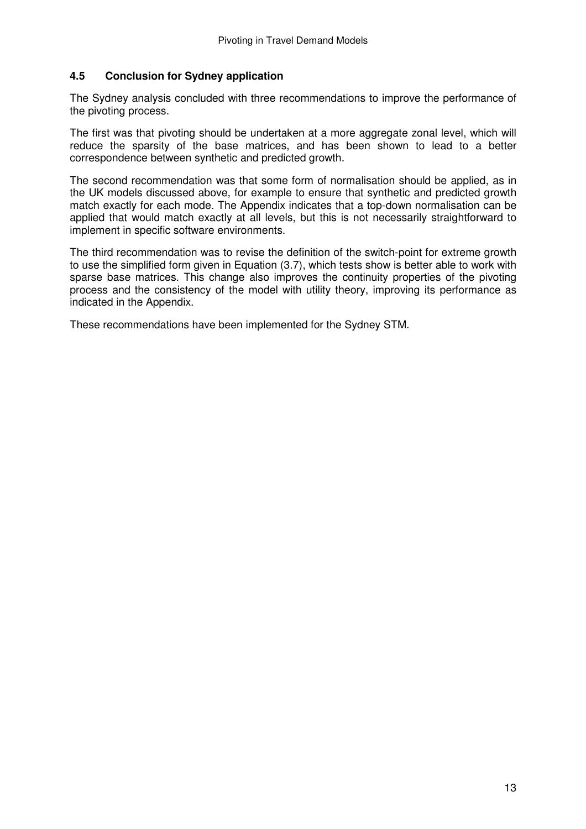### **4.5 Conclusion for Sydney application**

The Sydney analysis concluded with three recommendations to improve the performance of the pivoting process.

The first was that pivoting should be undertaken at a more aggregate zonal level, which will reduce the sparsity of the base matrices, and has been shown to lead to a better correspondence between synthetic and predicted growth.

The second recommendation was that some form of normalisation should be applied, as in the UK models discussed above, for example to ensure that synthetic and predicted growth match exactly for each mode. The Appendix indicates that a top-down normalisation can be applied that would match exactly at all levels, but this is not necessarily straightforward to implement in specific software environments.

The third recommendation was to revise the definition of the switch-point for extreme growth to use the simplified form given in Equation (3.7), which tests show is better able to work with sparse base matrices. This change also improves the continuity properties of the pivoting process and the consistency of the model with utility theory, improving its performance as indicated in the Appendix.

These recommendations have been implemented for the Sydney STM.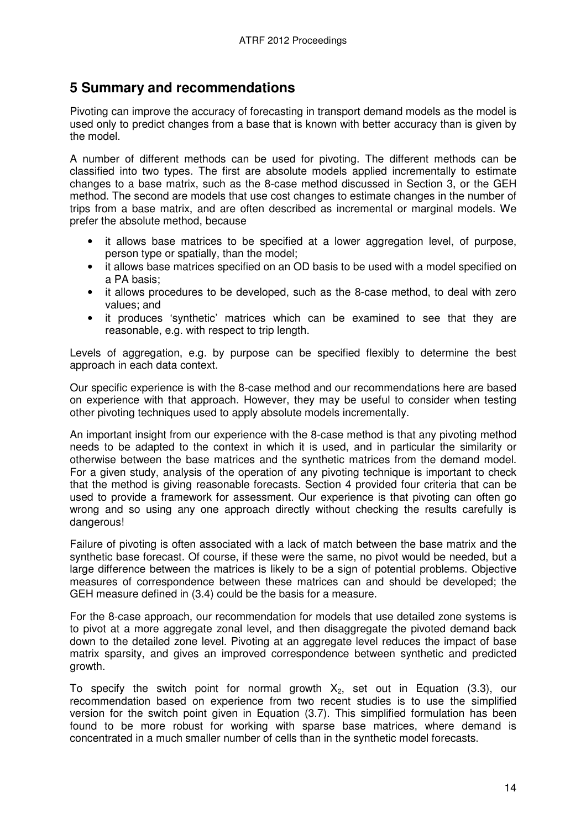## **5 Summary and recommendations**

Pivoting can improve the accuracy of forecasting in transport demand models as the model is used only to predict changes from a base that is known with better accuracy than is given by the model.

A number of different methods can be used for pivoting. The different methods can be classified into two types. The first are absolute models applied incrementally to estimate changes to a base matrix, such as the 8-case method discussed in Section 3, or the GEH method. The second are models that use cost changes to estimate changes in the number of trips from a base matrix, and are often described as incremental or marginal models. We prefer the absolute method, because

- it allows base matrices to be specified at a lower aggregation level, of purpose, person type or spatially, than the model;
- it allows base matrices specified on an OD basis to be used with a model specified on a PA basis;
- it allows procedures to be developed, such as the 8-case method, to deal with zero values; and
- it produces 'synthetic' matrices which can be examined to see that they are reasonable, e.g. with respect to trip length.

Levels of aggregation, e.g. by purpose can be specified flexibly to determine the best approach in each data context.

Our specific experience is with the 8-case method and our recommendations here are based on experience with that approach. However, they may be useful to consider when testing other pivoting techniques used to apply absolute models incrementally.

An important insight from our experience with the 8-case method is that any pivoting method needs to be adapted to the context in which it is used, and in particular the similarity or otherwise between the base matrices and the synthetic matrices from the demand model. For a given study, analysis of the operation of any pivoting technique is important to check that the method is giving reasonable forecasts. Section 4 provided four criteria that can be used to provide a framework for assessment. Our experience is that pivoting can often go wrong and so using any one approach directly without checking the results carefully is dangerous!

Failure of pivoting is often associated with a lack of match between the base matrix and the synthetic base forecast. Of course, if these were the same, no pivot would be needed, but a large difference between the matrices is likely to be a sign of potential problems. Objective measures of correspondence between these matrices can and should be developed; the GEH measure defined in (3.4) could be the basis for a measure.

For the 8-case approach, our recommendation for models that use detailed zone systems is to pivot at a more aggregate zonal level, and then disaggregate the pivoted demand back down to the detailed zone level. Pivoting at an aggregate level reduces the impact of base matrix sparsity, and gives an improved correspondence between synthetic and predicted growth.

To specify the switch point for normal growth  $X_2$ , set out in Equation (3.3), our recommendation based on experience from two recent studies is to use the simplified version for the switch point given in Equation (3.7). This simplified formulation has been found to be more robust for working with sparse base matrices, where demand is concentrated in a much smaller number of cells than in the synthetic model forecasts.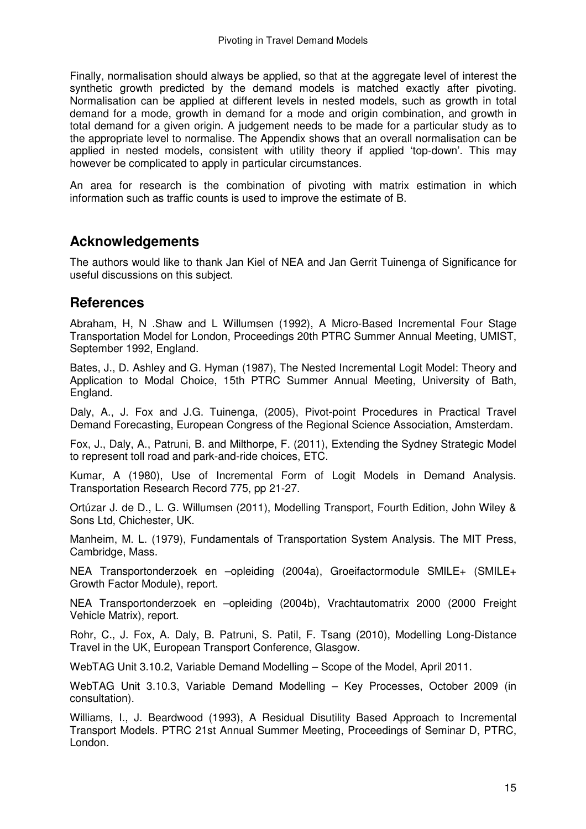Finally, normalisation should always be applied, so that at the aggregate level of interest the synthetic growth predicted by the demand models is matched exactly after pivoting. Normalisation can be applied at different levels in nested models, such as growth in total demand for a mode, growth in demand for a mode and origin combination, and growth in total demand for a given origin. A judgement needs to be made for a particular study as to the appropriate level to normalise. The Appendix shows that an overall normalisation can be applied in nested models, consistent with utility theory if applied 'top-down'. This may however be complicated to apply in particular circumstances.

An area for research is the combination of pivoting with matrix estimation in which information such as traffic counts is used to improve the estimate of B.

## **Acknowledgements**

The authors would like to thank Jan Kiel of NEA and Jan Gerrit Tuinenga of Significance for useful discussions on this subject.

## **References**

Abraham, H, N .Shaw and L Willumsen (1992), A Micro-Based Incremental Four Stage Transportation Model for London, Proceedings 20th PTRC Summer Annual Meeting, UMIST, September 1992, England.

Bates, J., D. Ashley and G. Hyman (1987), The Nested Incremental Logit Model: Theory and Application to Modal Choice, 15th PTRC Summer Annual Meeting, University of Bath, England.

Daly, A., J. Fox and J.G. Tuinenga, (2005), Pivot-point Procedures in Practical Travel Demand Forecasting, European Congress of the Regional Science Association, Amsterdam.

Fox, J., Daly, A., Patruni, B. and Milthorpe, F. (2011), Extending the Sydney Strategic Model to represent toll road and park-and-ride choices, ETC.

Kumar, A (1980), Use of Incremental Form of Logit Models in Demand Analysis. Transportation Research Record 775, pp 21-27.

Ortúzar J. de D., L. G. Willumsen (2011), Modelling Transport, Fourth Edition, John Wiley & Sons Ltd, Chichester, UK.

Manheim, M. L. (1979), Fundamentals of Transportation System Analysis. The MIT Press, Cambridge, Mass.

NEA Transportonderzoek en –opleiding (2004a), Groeifactormodule SMILE+ (SMILE+ Growth Factor Module), report.

NEA Transportonderzoek en –opleiding (2004b), Vrachtautomatrix 2000 (2000 Freight Vehicle Matrix), report.

Rohr, C., J. Fox, A. Daly, B. Patruni, S. Patil, F. Tsang (2010), Modelling Long-Distance Travel in the UK, European Transport Conference, Glasgow.

WebTAG Unit 3.10.2, Variable Demand Modelling – Scope of the Model, April 2011.

WebTAG Unit 3.10.3, Variable Demand Modelling – Key Processes, October 2009 (in consultation).

Williams, I., J. Beardwood (1993), A Residual Disutility Based Approach to Incremental Transport Models. PTRC 21st Annual Summer Meeting, Proceedings of Seminar D, PTRC, London.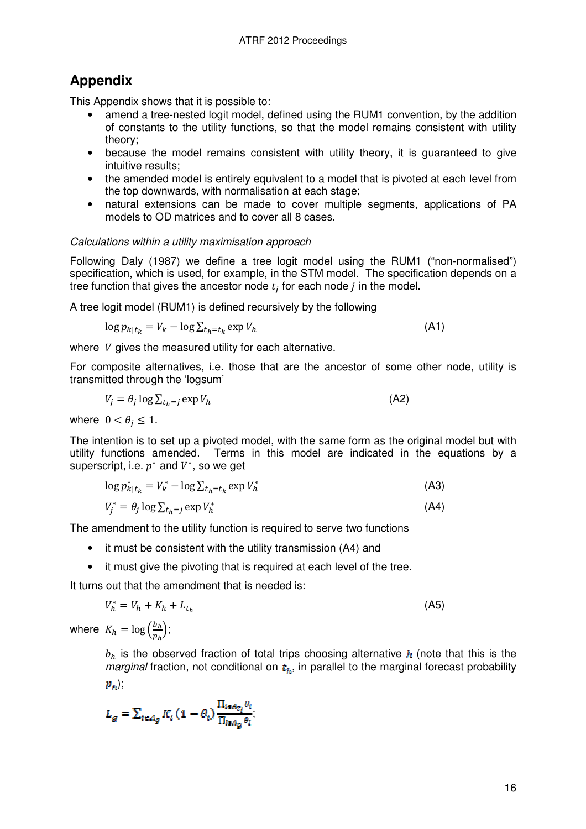# **Appendix**

This Appendix shows that it is possible to:

- amend a tree-nested logit model, defined using the RUM1 convention, by the addition of constants to the utility functions, so that the model remains consistent with utility theory;
- because the model remains consistent with utility theory, it is guaranteed to give intuitive results;
- the amended model is entirely equivalent to a model that is pivoted at each level from the top downwards, with normalisation at each stage;
- natural extensions can be made to cover multiple segments, applications of PA models to OD matrices and to cover all 8 cases.

#### Calculations within a utility maximisation approach

Following Daly (1987) we define a tree logit model using the RUM1 ("non-normalised") specification, which is used, for example, in the STM model. The specification depends on a tree function that gives the ancestor node  $t_j$  for each node  $j$  in the model.

A tree logit model (RUM1) is defined recursively by the following

$$
\log p_{k|t_k} = V_k - \log \sum_{t_h = t_k} \exp V_h \tag{A1}
$$

where V gives the measured utility for each alternative.

For composite alternatives, i.e. those that are the ancestor of some other node, utility is transmitted through the 'logsum'

$$
V_j = \theta_j \log \sum_{t_h=j} \exp V_h \tag{A2}
$$

where  $0 < \theta_j \leq 1$ .

The intention is to set up a pivoted model, with the same form as the original model but with utility functions amended. Terms in this model are indicated in the equations by a superscript, i.e.  $p^*$  and  $V^*$ , so we get

$$
\log p_{k|t_k}^* = V_k^* - \log \sum_{t_h = t_k} \exp V_h^*
$$
\n(A3)\n
$$
V_j^* = \theta_j \log \sum_{t_h = j} \exp V_h^*
$$
\n(A4)

The amendment to the utility function is required to serve two functions

- it must be consistent with the utility transmission (A4) and
- it must give the pivoting that is required at each level of the tree.

It turns out that the amendment that is needed is:

$$
V_h^* = V_h + K_h + L_{t_h} \tag{A5}
$$

where  $K_h = \log \left( \frac{b_h}{p_h} \right);$ 

 $b_h$  is the observed fraction of total trips choosing alternative  $h$  (note that this is the marginal fraction, not conditional on  $t<sub>h</sub>$ , in parallel to the marginal forecast probability  $p_{\mathbf{a}}$ );

$$
L_g=\sum_{i\in A_g}K_i\left(1-\theta_i\right)\frac{\Pi_{i\in A_{\hat{U}_i}}\theta_i}{\Pi_{i\in A_g}\theta_i};
$$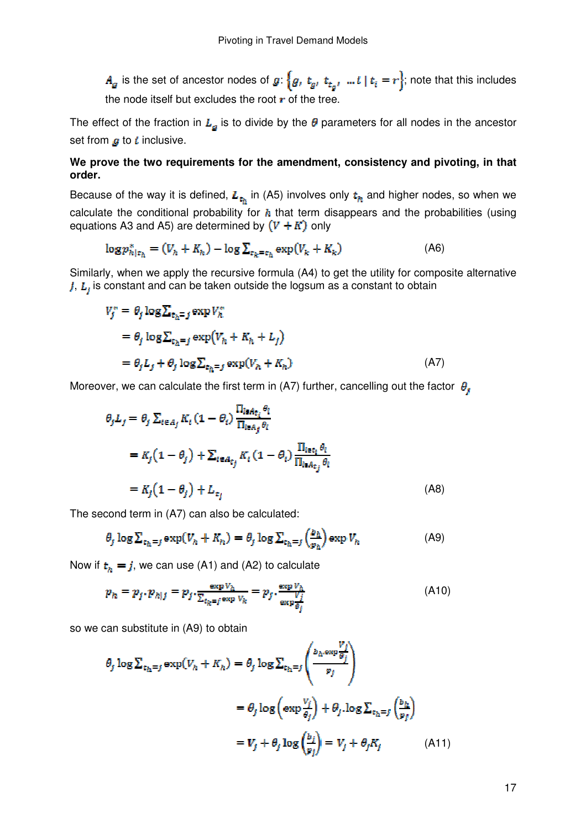$A_g$  is the set of ancestor nodes of  $g: \{g, t_g, t_{t_g}, ... t \mid t_i = r\}$ ; note that this includes the node itself but excludes the root  $\mathbf r$  of the tree.

The effect of the fraction in  $L_a$  is to divide by the  $\theta$  parameters for all nodes in the ancestor set from  $q$  to *i* inclusive.

#### **We prove the two requirements for the amendment, consistency and pivoting, in that order.**

Because of the way it is defined,  $L_{t_h}$  in (A5) involves only  $t_h$  and higher nodes, so when we calculate the conditional probability for  $h$  that term disappears and the probabilities (using equations A3 and A5) are determined by  $(V + K)$  only

$$
\log p_{h|t_h}^* = (V_h + K_h) - \log \sum_{t_k = t_h} \exp(V_k + K_k)
$$
\n(A6)

Similarly, when we apply the recursive formula (A4) to get the utility for composite alternative  $j$ ,  $L<sub>i</sub>$  is constant and can be taken outside the logsum as a constant to obtain

$$
V_j^* = \theta_j \log \sum_{\epsilon_h = j} \exp V_h^*
$$
  
=  $\theta_j \log \sum_{\epsilon_h = j} \exp(V_h + K_h + L_j)$   
=  $\theta_j L_j + \theta_j \log \sum_{\epsilon_h = j} \exp(V_h + K_h)$  (A7)

Moreover, we can calculate the first term in (A7) further, cancelling out the factor  $\theta$ .

$$
\theta_j L_j = \theta_j \sum_{i \in A_j} K_i (1 - \theta_i) \frac{\prod_{i \in A_{\tilde{L}_i}} \theta_i}{\prod_{i \in A_j} \theta_i}
$$
  
=  $K_j (1 - \theta_j) + \sum_{i \in A_{\tilde{L}_j}} K_i (1 - \theta_i) \frac{\prod_{i \in \tilde{L}_i} \theta_i}{\prod_{i \in A_{\tilde{L}_j}} \theta_i}$   
=  $K_j (1 - \theta_j) + L_{\epsilon_j}$  (A8)

The second term in (A7) can also be calculated:

$$
\theta_j \log \sum_{t_h=j} \exp(V_h + K_h) = \theta_j \log \sum_{t_h=j} \left(\frac{b_h}{p_h}\right) \exp V_h \tag{A9}
$$

Now if  $t<sub>h</sub> = j$ , we can use (A1) and (A2) to calculate

$$
p_h = p_j \cdot p_{h|j} = p_j \cdot \frac{\exp v_h}{\sum_{t_k = j} \exp v_k} = p_j \cdot \frac{\exp v_h}{\exp \frac{V_j}{\theta_j}}
$$
(A10)

so we can substitute in (A9) to obtain

$$
\theta_j \log \sum_{t_h=j} \exp(V_h + K_h) = \theta_j \log \sum_{t_h=j} \left( \frac{b_h \exp \frac{V_j}{\theta_j}}{p_j} \right)
$$

$$
= \theta_j \log \left( \exp \frac{V_j}{\theta_j} \right) + \theta_j \log \sum_{t_h=j} \left( \frac{b_h}{p_j} \right)
$$

$$
= V_j + \theta_j \log \left( \frac{b_j}{p_j} \right) = V_j + \theta_j K_j \tag{A11}
$$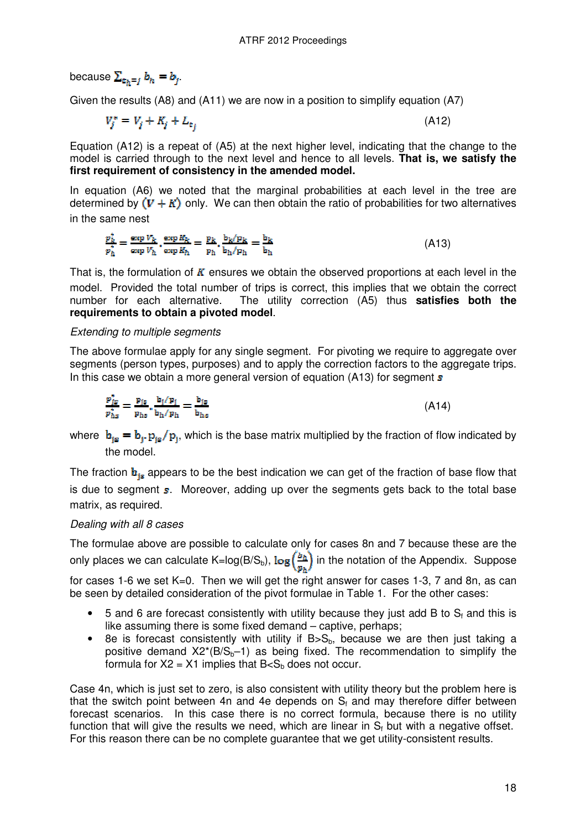because  $\sum_{k} b_k = b_j$ .

Given the results (A8) and (A11) we are now in a position to simplify equation (A7)

 $V_j^* = V_j + K_j + L_{\epsilon_j}$  (A12)

Equation (A12) is a repeat of (A5) at the next higher level, indicating that the change to the model is carried through to the next level and hence to all levels. **That is, we satisfy the first requirement of consistency in the amended model.**

In equation (A6) we noted that the marginal probabilities at each level in the tree are determined by  $(V + K)$  only. We can then obtain the ratio of probabilities for two alternatives in the same nest

$$
\frac{p_k^*}{p_h^*} = \frac{\exp V_k}{\exp V_h} \cdot \frac{\exp R_k}{\exp R_h} = \frac{p_k}{p_h} \cdot \frac{b_k/p_k}{b_h/p_h} = \frac{b_k}{b_h}
$$
(A13)

That is, the formulation of  $K$  ensures we obtain the observed proportions at each level in the model. Provided the total number of trips is correct, this implies that we obtain the correct number for each alternative. The utility correction (A5) thus **satisfies both the requirements to obtain a pivoted model**.

#### Extending to multiple segments

The above formulae apply for any single segment. For pivoting we require to aggregate over segments (person types, purposes) and to apply the correction factors to the aggregate trips. In this case we obtain a more general version of equation  $(A13)$  for segment s

$$
\frac{\mathbf{p}_{js}^*}{\mathbf{p}_{hs}^*} = \frac{\mathbf{p}_{js}}{\mathbf{p}_{hs}} \cdot \frac{\mathbf{b}_j / \mathbf{p}_j}{\mathbf{b}_h / \mathbf{p}_h} = \frac{\mathbf{b}_{js}}{\mathbf{b}_{hs}} \tag{A14}
$$

where  $b_{i\sigma} = b_{i\sigma} p_{i\sigma}/p_{i\sigma}$ , which is the base matrix multiplied by the fraction of flow indicated by the model.

The fraction  $\mathbf{b}_{i\mathbf{s}}$  appears to be the best indication we can get of the fraction of base flow that is due to segment  $s$ . Moreover, adding up over the segments gets back to the total base matrix, as required.

#### Dealing with all 8 cases

The formulae above are possible to calculate only for cases 8n and 7 because these are the only places we can calculate K=log(B/S<sub>b</sub>),  $\log\left(\frac{b_h}{p_b}\right)$  in the notation of the Appendix. Suppose

for cases 1-6 we set K=0. Then we will get the right answer for cases 1-3, 7 and 8n, as can be seen by detailed consideration of the pivot formulae in Table 1. For the other cases:

- $\bullet$  5 and 6 are forecast consistently with utility because they just add B to  $S_f$  and this is like assuming there is some fixed demand – captive, perhaps;
- 8e is forecast consistently with utility if  $B>S_b$ , because we are then just taking a positive demand  $X2*(B/S_b-1)$  as being fixed. The recommendation to simplify the formula for  $X2 = X1$  implies that  $B < S<sub>b</sub>$  does not occur.

Case 4n, which is just set to zero, is also consistent with utility theory but the problem here is that the switch point between 4n and 4e depends on  $S_f$  and may therefore differ between forecast scenarios. In this case there is no correct formula, because there is no utility function that will give the results we need, which are linear in  $S_f$  but with a negative offset. For this reason there can be no complete guarantee that we get utility-consistent results.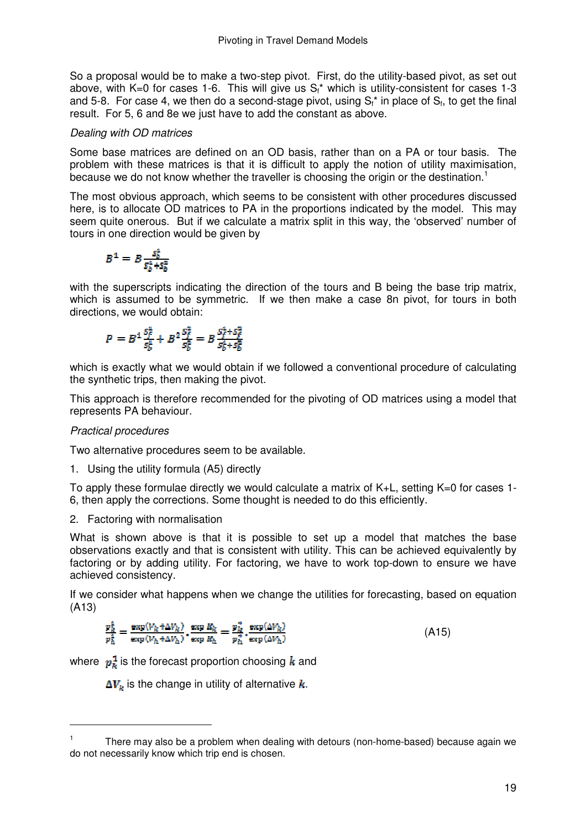So a proposal would be to make a two-step pivot. First, do the utility-based pivot, as set out above, with K=0 for cases 1-6. This will give us  $S_f^*$  which is utility-consistent for cases 1-3 and 5-8. For case 4, we then do a second-stage pivot, using  $S_f^*$  in place of  $S_f$ , to get the final result. For 5, 6 and 8e we just have to add the constant as above.

### Dealing with OD matrices

Some base matrices are defined on an OD basis, rather than on a PA or tour basis. The problem with these matrices is that it is difficult to apply the notion of utility maximisation, because we do not know whether the traveller is choosing the origin or the destination.<sup>1</sup>

The most obvious approach, which seems to be consistent with other procedures discussed here, is to allocate OD matrices to PA in the proportions indicated by the model. This may seem quite onerous. But if we calculate a matrix split in this way, the 'observed' number of tours in one direction would be given by

$$
B^1 = B \frac{s_b^4}{s_b^4 + s_b^2}
$$

with the superscripts indicating the direction of the tours and B being the base trip matrix, which is assumed to be symmetric. If we then make a case 8n pivot, for tours in both directions, we would obtain:

$$
P = B^1 \frac{S_f^4}{S_b^4} + B^2 \frac{S_f^2}{S_b^2} = B \frac{S_f^4 + S_f^2}{S_b^4 + S_b^2}
$$

which is exactly what we would obtain if we followed a conventional procedure of calculating the synthetic trips, then making the pivot.

This approach is therefore recommended for the pivoting of OD matrices using a model that represents PA behaviour.

#### Practical procedures

 $\overline{a}$ 

Two alternative procedures seem to be available.

1. Using the utility formula (A5) directly

To apply these formulae directly we would calculate a matrix of K+L, setting K=0 for cases 1- 6, then apply the corrections. Some thought is needed to do this efficiently.

2. Factoring with normalisation

What is shown above is that it is possible to set up a model that matches the base observations exactly and that is consistent with utility. This can be achieved equivalently by factoring or by adding utility. For factoring, we have to work top-down to ensure we have achieved consistency.

If we consider what happens when we change the utilities for forecasting, based on equation (A13)

$$
\frac{p_k^1}{p_h^2} = \frac{\exp(V_k + \Delta V_k)}{\exp(V_h + \Delta V_h)} \cdot \frac{\exp R_k}{\exp R_h} = \frac{p_k^*}{p_h^2} \cdot \frac{\exp(\Delta V_k)}{\exp(\Delta V_h)}\tag{A15}
$$

where  $p_{\nu}^{\frac{1}{2}}$  is the forecast proportion choosing k and

 $\Delta V_k$  is the change in utility of alternative  $k$ .

<sup>1</sup> There may also be a problem when dealing with detours (non-home-based) because again we do not necessarily know which trip end is chosen.